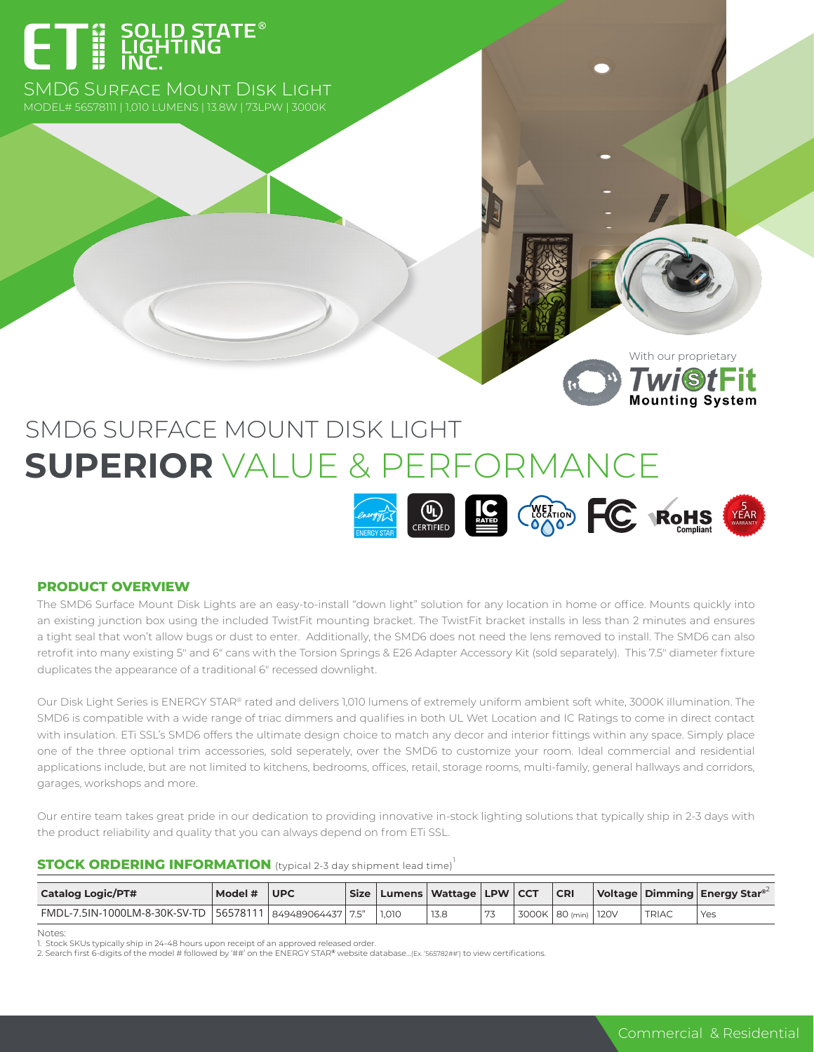# ET E SOLID STATE<sup>®</sup>

SMD6 Surface Mount Disk Light

With our proprietary**Twi**StFit

## SMD6 SURFACE MOUNT DISK LIGHT **SUPERIOR** VALUE & PERFORMANCE



#### **PRODUCT OVERVIEW**

The SMD6 Surface Mount Disk Lights are an easy-to-install "down light" solution for any location in home or office. Mounts quickly into an existing junction box using the included TwistFit mounting bracket. The TwistFit bracket installs in less than 2 minutes and ensures a tight seal that won't allow bugs or dust to enter. Additionally, the SMD6 does not need the lens removed to install. The SMD6 can also retrofit into many existing 5″ and 6″ cans with the Torsion Springs & E26 Adapter Accessory Kit (sold separately). This 7.5″ diameter fixture duplicates the appearance of a traditional 6″ recessed downlight.

Our Disk Light Series is ENERGY STAR® rated and delivers 1,010 lumens of extremely uniform ambient soft white, 3000K illumination. The SMD6 is compatible with a wide range of triac dimmers and qualifies in both UL Wet Location and IC Ratings to come in direct contact with insulation. ETi SSL's SMD6 offers the ultimate design choice to match any decor and interior fittings within any space. Simply place one of the three optional trim accessories, sold seperately, over the SMD6 to customize your room. Ideal commercial and residential applications include, but are not limited to kitchens, bedrooms, offices, retail, storage rooms, multi-family, general hallways and corridors, garages, workshops and more.

Our entire team takes great pride in our dedication to providing innovative in-stock lighting solutions that typically ship in 2-3 days with the product reliability and quality that you can always depend on from ETi SSL.

#### **STOCK ORDERING INFORMATION** (typical 2-3 day shipment lead time)<sup>1</sup>

| <b>Catalog Logic/PT#</b>                                       | Model $\#$ UPC |  | Size   Lumens   Wattage   LPW   CCT |    | <b>CRI</b>              |              | $\vert$ Voltage   Dimming   Energy Star <sup>®2</sup> |
|----------------------------------------------------------------|----------------|--|-------------------------------------|----|-------------------------|--------------|-------------------------------------------------------|
| FMDL-7.5IN-1000LM-8-30K-SV-TD   56578111   849489064437   7.5" |                |  | 13.8                                | 77 | 3000K   80 (min)   120V | <b>TRIAC</b> | Yes                                                   |

Notes:

. . . . . . . .<br>1. Stock SKUs typically ship in 24-48 hours upon receipt of an approved released order.

2. Search first 6-digits of the model # followed by '##' on the ENERGY STAR® website database...(Ex. '565782##') to view certifications.